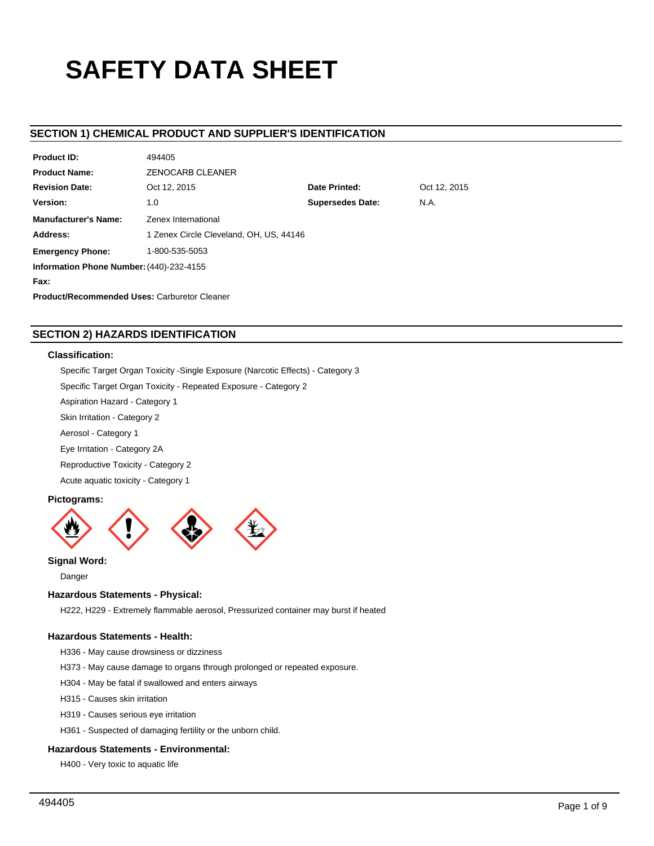# **SAFETY DATA SHEET**

# **SECTION 1) CHEMICAL PRODUCT AND SUPPLIER'S IDENTIFICATION**

| <b>Product ID:</b><br>494405                        |                                               |  |  |  |  |  |
|-----------------------------------------------------|-----------------------------------------------|--|--|--|--|--|
| <b>Product Name:</b>                                | <b>ZENOCARB CLEANER</b>                       |  |  |  |  |  |
| <b>Revision Date:</b>                               | Date Printed:<br>Oct 12, 2015<br>Oct 12, 2015 |  |  |  |  |  |
| Version:                                            | <b>Supersedes Date:</b><br>N.A.<br>1.0        |  |  |  |  |  |
| <b>Manufacturer's Name:</b><br>Zenex International  |                                               |  |  |  |  |  |
| Address:                                            | 1 Zenex Circle Cleveland, OH, US, 44146       |  |  |  |  |  |
| 1-800-535-5053<br><b>Emergency Phone:</b>           |                                               |  |  |  |  |  |
| Information Phone Number: (440)-232-4155            |                                               |  |  |  |  |  |
| Fax:                                                |                                               |  |  |  |  |  |
| <b>Product/Recommended Uses: Carburetor Cleaner</b> |                                               |  |  |  |  |  |

# **SECTION 2) HAZARDS IDENTIFICATION**

# **Classification:**

Specific Target Organ Toxicity -Single Exposure (Narcotic Effects) - Category 3

Specific Target Organ Toxicity - Repeated Exposure - Category 2

Aspiration Hazard - Category 1

Skin Irritation - Category 2

Aerosol - Category 1

Eye Irritation - Category 2A

Reproductive Toxicity - Category 2

Acute aquatic toxicity - Category 1

# **Pictograms:**



**Signal Word:**

Danger

## **Hazardous Statements - Physical:**

H222, H229 - Extremely flammable aerosol, Pressurized container may burst if heated

# **Hazardous Statements - Health:**

H336 - May cause drowsiness or dizziness

- H373 May cause damage to organs through prolonged or repeated exposure.
- H304 May be fatal if swallowed and enters airways

H315 - Causes skin irritation

H319 - Causes serious eye irritation

H361 - Suspected of damaging fertility or the unborn child.

# **Hazardous Statements - Environmental:**

H400 - Very toxic to aquatic life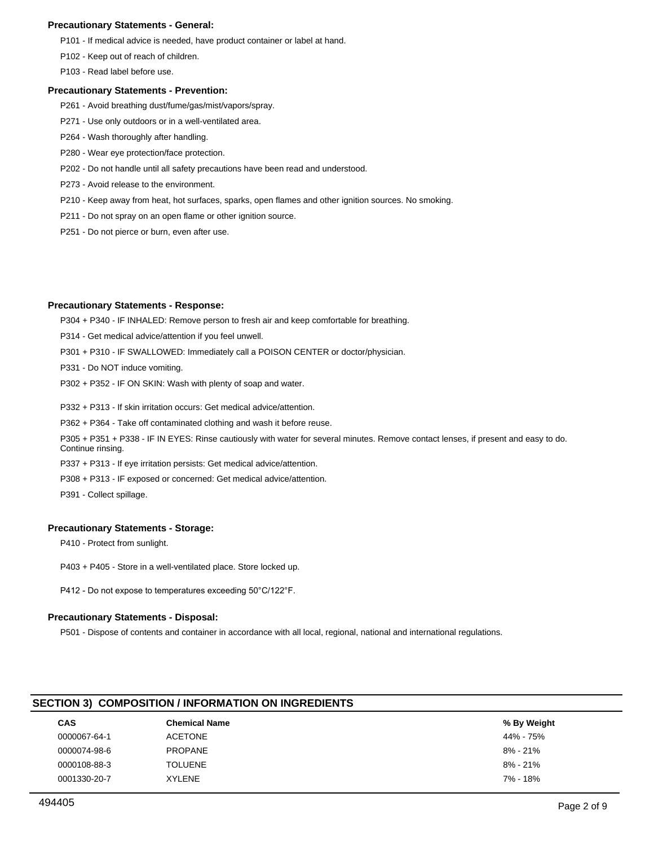# **Precautionary Statements - General:**

P101 - If medical advice is needed, have product container or label at hand.

P102 - Keep out of reach of children.

P103 - Read label before use.

## **Precautionary Statements - Prevention:**

- P261 Avoid breathing dust/fume/gas/mist/vapors/spray.
- P271 Use only outdoors or in a well-ventilated area.
- P264 Wash thoroughly after handling.
- P280 Wear eye protection/face protection.
- P202 Do not handle until all safety precautions have been read and understood.
- P273 Avoid release to the environment.
- P210 Keep away from heat, hot surfaces, sparks, open flames and other ignition sources. No smoking.
- P211 Do not spray on an open flame or other ignition source.
- P251 Do not pierce or burn, even after use.

# **Precautionary Statements - Response:**

P304 + P340 - IF INHALED: Remove person to fresh air and keep comfortable for breathing.

- P314 Get medical advice/attention if you feel unwell.
- P301 + P310 IF SWALLOWED: Immediately call a POISON CENTER or doctor/physician.
- P331 Do NOT induce vomiting.
- P302 + P352 IF ON SKIN: Wash with plenty of soap and water.
- P332 + P313 If skin irritation occurs: Get medical advice/attention.
- P362 + P364 Take off contaminated clothing and wash it before reuse.

P305 + P351 + P338 - IF IN EYES: Rinse cautiously with water for several minutes. Remove contact lenses, if present and easy to do. Continue rinsing.

- P337 + P313 If eye irritation persists: Get medical advice/attention.
- P308 + P313 IF exposed or concerned: Get medical advice/attention.
- P391 Collect spillage.

## **Precautionary Statements - Storage:**

P410 - Protect from sunlight.

- P403 + P405 Store in a well-ventilated place. Store locked up.
- P412 Do not expose to temperatures exceeding 50°C/122°F.

# **Precautionary Statements - Disposal:**

P501 - Dispose of contents and container in accordance with all local, regional, national and international regulations.

# **SECTION 3) COMPOSITION / INFORMATION ON INGREDIENTS**

| CAS          | <b>Chemical Name</b> | % By Weight |
|--------------|----------------------|-------------|
| 0000067-64-1 | <b>ACETONE</b>       | 44% - 75%   |
| 0000074-98-6 | <b>PROPANE</b>       | 8% - 21%    |
| 0000108-88-3 | <b>TOLUENE</b>       | 8% - 21%    |
| 0001330-20-7 | <b>XYLENE</b>        | 7% - 18%    |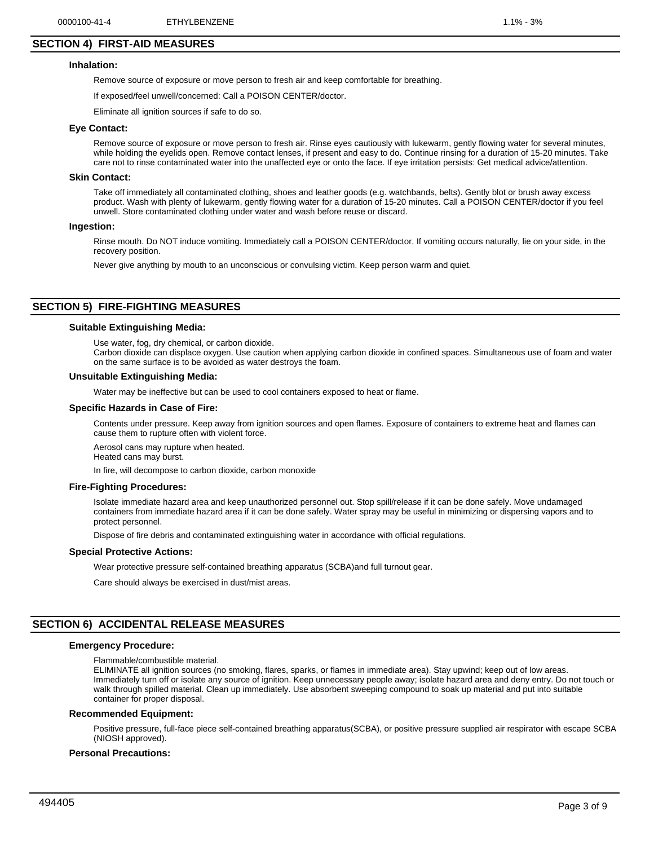# **SECTION 4) FIRST-AID MEASURES**

## **Inhalation:**

Remove source of exposure or move person to fresh air and keep comfortable for breathing.

If exposed/feel unwell/concerned: Call a POISON CENTER/doctor.

Eliminate all ignition sources if safe to do so.

#### **Eye Contact:**

Remove source of exposure or move person to fresh air. Rinse eyes cautiously with lukewarm, gently flowing water for several minutes, while holding the eyelids open. Remove contact lenses, if present and easy to do. Continue rinsing for a duration of 15-20 minutes. Take care not to rinse contaminated water into the unaffected eye or onto the face. If eye irritation persists: Get medical advice/attention.

#### **Skin Contact:**

Take off immediately all contaminated clothing, shoes and leather goods (e.g. watchbands, belts). Gently blot or brush away excess product. Wash with plenty of lukewarm, gently flowing water for a duration of 15-20 minutes. Call a POISON CENTER/doctor if you feel unwell. Store contaminated clothing under water and wash before reuse or discard.

#### **Ingestion:**

Rinse mouth. Do NOT induce vomiting. Immediately call a POISON CENTER/doctor. If vomiting occurs naturally, lie on your side, in the recovery position.

Never give anything by mouth to an unconscious or convulsing victim. Keep person warm and quiet.

# **SECTION 5) FIRE-FIGHTING MEASURES**

## **Suitable Extinguishing Media:**

Use water, fog, dry chemical, or carbon dioxide.

Carbon dioxide can displace oxygen. Use caution when applying carbon dioxide in confined spaces. Simultaneous use of foam and water on the same surface is to be avoided as water destroys the foam.

#### **Unsuitable Extinguishing Media:**

Water may be ineffective but can be used to cool containers exposed to heat or flame.

#### **Specific Hazards in Case of Fire:**

Contents under pressure. Keep away from ignition sources and open flames. Exposure of containers to extreme heat and flames can cause them to rupture often with violent force.

Aerosol cans may rupture when heated. Heated cans may burst.

In fire, will decompose to carbon dioxide, carbon monoxide

#### **Fire-Fighting Procedures:**

Isolate immediate hazard area and keep unauthorized personnel out. Stop spill/release if it can be done safely. Move undamaged containers from immediate hazard area if it can be done safely. Water spray may be useful in minimizing or dispersing vapors and to protect personnel.

Dispose of fire debris and contaminated extinguishing water in accordance with official regulations.

#### **Special Protective Actions:**

Wear protective pressure self-contained breathing apparatus (SCBA)and full turnout gear.

Care should always be exercised in dust/mist areas.

# **SECTION 6) ACCIDENTAL RELEASE MEASURES**

#### **Emergency Procedure:**

Flammable/combustible material.

ELIMINATE all ignition sources (no smoking, flares, sparks, or flames in immediate area). Stay upwind; keep out of low areas. Immediately turn off or isolate any source of ignition. Keep unnecessary people away; isolate hazard area and deny entry. Do not touch or walk through spilled material. Clean up immediately. Use absorbent sweeping compound to soak up material and put into suitable container for proper disposal.

#### **Recommended Equipment:**

Positive pressure, full-face piece self-contained breathing apparatus(SCBA), or positive pressure supplied air respirator with escape SCBA (NIOSH approved).

#### **Personal Precautions:**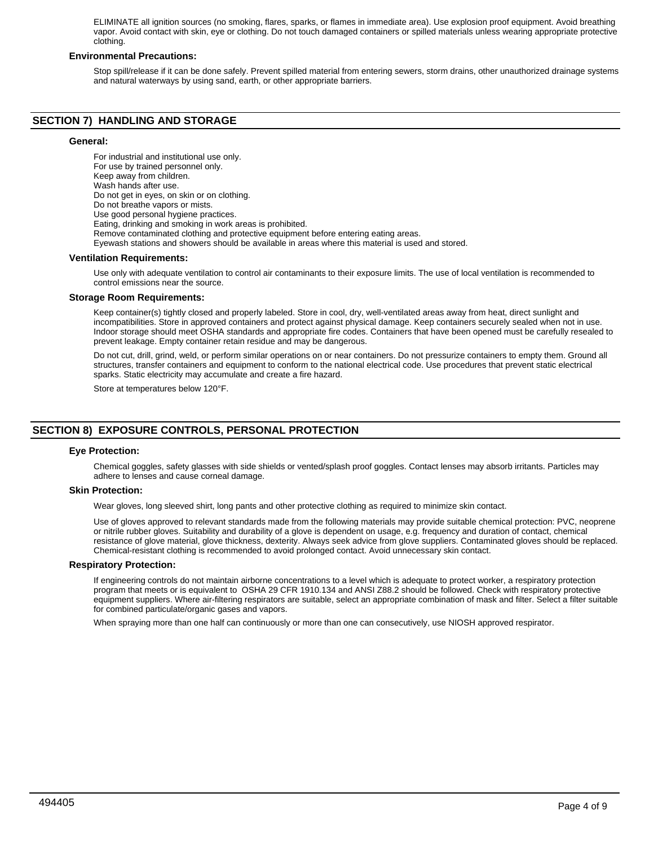ELIMINATE all ignition sources (no smoking, flares, sparks, or flames in immediate area). Use explosion proof equipment. Avoid breathing vapor. Avoid contact with skin, eye or clothing. Do not touch damaged containers or spilled materials unless wearing appropriate protective clothing.

# **Environmental Precautions:**

Stop spill/release if it can be done safely. Prevent spilled material from entering sewers, storm drains, other unauthorized drainage systems and natural waterways by using sand, earth, or other appropriate barriers.

# **SECTION 7) HANDLING AND STORAGE**

# **General:**

For industrial and institutional use only. For use by trained personnel only. Keep away from children. Wash hands after use. Do not get in eyes, on skin or on clothing. Do not breathe vapors or mists. Use good personal hygiene practices. Eating, drinking and smoking in work areas is prohibited. Remove contaminated clothing and protective equipment before entering eating areas. Eyewash stations and showers should be available in areas where this material is used and stored. **Ventilation Requirements:**

Use only with adequate ventilation to control air contaminants to their exposure limits. The use of local ventilation is recommended to control emissions near the source.

#### **Storage Room Requirements:**

Keep container(s) tightly closed and properly labeled. Store in cool, dry, well-ventilated areas away from heat, direct sunlight and incompatibilities. Store in approved containers and protect against physical damage. Keep containers securely sealed when not in use. Indoor storage should meet OSHA standards and appropriate fire codes. Containers that have been opened must be carefully resealed to prevent leakage. Empty container retain residue and may be dangerous.

Do not cut, drill, grind, weld, or perform similar operations on or near containers. Do not pressurize containers to empty them. Ground all structures, transfer containers and equipment to conform to the national electrical code. Use procedures that prevent static electrical sparks. Static electricity may accumulate and create a fire hazard.

Store at temperatures below 120°F.

# **SECTION 8) EXPOSURE CONTROLS, PERSONAL PROTECTION**

## **Eye Protection:**

Chemical goggles, safety glasses with side shields or vented/splash proof goggles. Contact lenses may absorb irritants. Particles may adhere to lenses and cause corneal damage.

#### **Skin Protection:**

Wear gloves, long sleeved shirt, long pants and other protective clothing as required to minimize skin contact.

Use of gloves approved to relevant standards made from the following materials may provide suitable chemical protection: PVC, neoprene or nitrile rubber gloves. Suitability and durability of a glove is dependent on usage, e.g. frequency and duration of contact, chemical resistance of glove material, glove thickness, dexterity. Always seek advice from glove suppliers. Contaminated gloves should be replaced. Chemical-resistant clothing is recommended to avoid prolonged contact. Avoid unnecessary skin contact.

## **Respiratory Protection:**

If engineering controls do not maintain airborne concentrations to a level which is adequate to protect worker, a respiratory protection program that meets or is equivalent to OSHA 29 CFR 1910.134 and ANSI Z88.2 should be followed. Check with respiratory protective equipment suppliers. Where air-filtering respirators are suitable, select an appropriate combination of mask and filter. Select a filter suitable for combined particulate/organic gases and vapors.

When spraying more than one half can continuously or more than one can consecutively, use NIOSH approved respirator.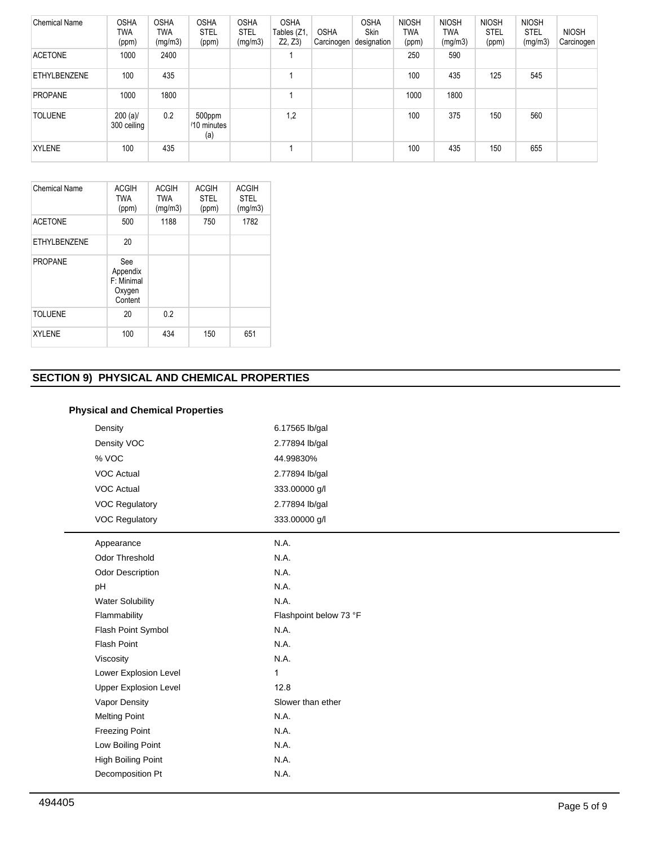| <b>Chemical Name</b> | <b>OSHA</b><br>TWA<br>(ppm) | <b>OSHA</b><br><b>TWA</b><br>(mg/m3) | <b>OSHA</b><br><b>STEL</b><br>(ppm) | <b>OSHA</b><br><b>STEL</b><br>(mg/m3) | <b>OSHA</b><br>Tables (Z1,<br>Z2, Z3 | <b>OSHA</b><br>Carcinogen | <b>OSHA</b><br><b>Skin</b><br>designation | <b>NIOSH</b><br><b>TWA</b><br>(ppm) | <b>NIOSH</b><br>TWA<br>(mg/m3) | <b>NIOSH</b><br><b>STEL</b><br>(ppm) | <b>NIOSH</b><br><b>STEL</b><br>(mg/m3) | <b>NIOSH</b><br>Carcinogen |
|----------------------|-----------------------------|--------------------------------------|-------------------------------------|---------------------------------------|--------------------------------------|---------------------------|-------------------------------------------|-------------------------------------|--------------------------------|--------------------------------------|----------------------------------------|----------------------------|
| <b>ACETONE</b>       | 1000                        | 2400                                 |                                     |                                       |                                      |                           |                                           | 250                                 | 590                            |                                      |                                        |                            |
| ETHYLBENZENE         | 100                         | 435                                  |                                     |                                       |                                      |                           |                                           | 100                                 | 435                            | 125                                  | 545                                    |                            |
| PROPANE              | 1000                        | 1800                                 |                                     |                                       |                                      |                           |                                           | 1000                                | 1800                           |                                      |                                        |                            |
| <b>TOLUENE</b>       | $200 (a)$ /<br>300 ceiling  | 0.2                                  | 500ppm<br>/10 minutes<br>(a)        |                                       | 1,2                                  |                           |                                           | 100                                 | 375                            | 150                                  | 560                                    |                            |
| <b>XYLENE</b>        | 100                         | 435                                  |                                     |                                       |                                      |                           |                                           | 100                                 | 435                            | 150                                  | 655                                    |                            |

| <b>Chemical Name</b> | <b>ACGIH</b><br><b>TWA</b><br>(ppm)                | <b>ACGIH</b><br><b>TWA</b><br>(mg/m3) | <b>ACGIH</b><br><b>STEL</b><br>(ppm) | <b>ACGIH</b><br><b>STEL</b><br>(mg/m3) |
|----------------------|----------------------------------------------------|---------------------------------------|--------------------------------------|----------------------------------------|
| <b>ACETONE</b>       | 500                                                | 1188                                  | 750                                  | 1782                                   |
| <b>ETHYLBENZENE</b>  | 20                                                 |                                       |                                      |                                        |
| <b>PROPANE</b>       | See<br>Appendix<br>F: Minimal<br>Oxygen<br>Content |                                       |                                      |                                        |
| <b>TOLUENE</b>       | 20                                                 | 0.2                                   |                                      |                                        |
| <b>XYLENE</b>        | 100                                                | 434                                   | 150                                  | 651                                    |

# **SECTION 9) PHYSICAL AND CHEMICAL PROPERTIES**

| <b>Physical and Chemical Properties</b> |
|-----------------------------------------|
|-----------------------------------------|

| Density                      | 6.17565 lb/gal         |
|------------------------------|------------------------|
| Density VOC                  | 2.77894 lb/gal         |
| % VOC                        | 44.99830%              |
| <b>VOC Actual</b>            | 2.77894 lb/gal         |
| <b>VOC Actual</b>            | 333.00000 g/l          |
| <b>VOC Regulatory</b>        | 2.77894 lb/gal         |
| <b>VOC Regulatory</b>        | 333.00000 g/l          |
| Appearance                   | N.A.                   |
| <b>Odor Threshold</b>        | N.A.                   |
| Odor Description             | N.A.                   |
| pH                           | N.A.                   |
| <b>Water Solubility</b>      | N.A.                   |
| Flammability                 | Flashpoint below 73 °F |
| Flash Point Symbol           | N.A.                   |
| <b>Flash Point</b>           | N.A.                   |
| Viscosity                    | N.A.                   |
| Lower Explosion Level        | 1                      |
| <b>Upper Explosion Level</b> | 12.8                   |
| Vapor Density                | Slower than ether      |
| <b>Melting Point</b>         | N.A.                   |
| <b>Freezing Point</b>        | N.A.                   |
| Low Boiling Point            | N.A.                   |
| High Boiling Point           | N.A.                   |
| Decomposition Pt             | N.A.                   |
|                              |                        |

J.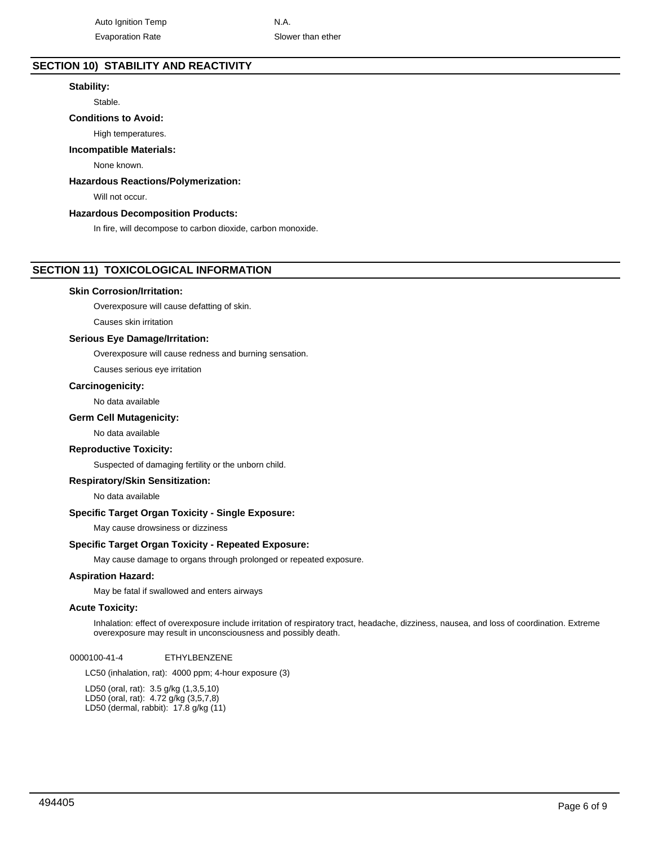# **SECTION 10) STABILITY AND REACTIVITY**

# **Stability:**

Stable.

# **Conditions to Avoid:**

High temperatures.

# **Incompatible Materials:**

None known.

# **Hazardous Reactions/Polymerization:**

Will not occur.

# **Hazardous Decomposition Products:**

In fire, will decompose to carbon dioxide, carbon monoxide.

# **SECTION 11) TOXICOLOGICAL INFORMATION**

#### **Skin Corrosion/Irritation:**

Overexposure will cause defatting of skin.

Causes skin irritation

## **Serious Eye Damage/Irritation:**

Overexposure will cause redness and burning sensation.

Causes serious eye irritation

## **Carcinogenicity:**

No data available

# **Germ Cell Mutagenicity:**

No data available

## **Reproductive Toxicity:**

Suspected of damaging fertility or the unborn child.

## **Respiratory/Skin Sensitization:**

No data available

# **Specific Target Organ Toxicity - Single Exposure:**

May cause drowsiness or dizziness

# **Specific Target Organ Toxicity - Repeated Exposure:**

May cause damage to organs through prolonged or repeated exposure.

# **Aspiration Hazard:**

May be fatal if swallowed and enters airways

#### **Acute Toxicity:**

Inhalation: effect of overexposure include irritation of respiratory tract, headache, dizziness, nausea, and loss of coordination. Extreme overexposure may result in unconsciousness and possibly death.

0000100-41-4 ETHYLBENZENE

LC50 (inhalation, rat): 4000 ppm; 4-hour exposure (3)

LD50 (oral, rat): 3.5 g/kg (1,3,5,10) LD50 (oral, rat): 4.72 g/kg (3,5,7,8) LD50 (dermal, rabbit): 17.8 g/kg (11)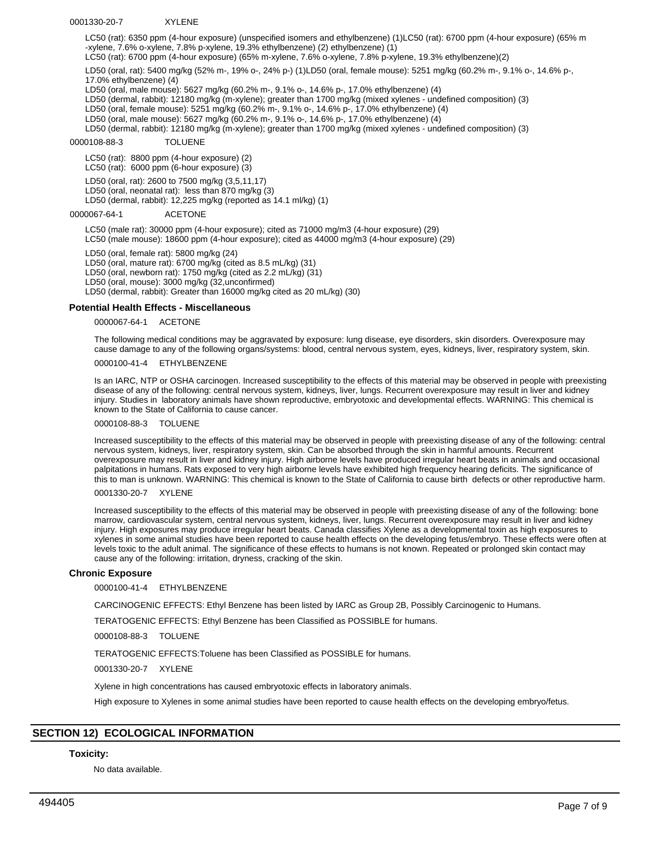#### 0001330-20-7 XYLENE

LC50 (rat): 6350 ppm (4-hour exposure) (unspecified isomers and ethylbenzene) (1)LC50 (rat): 6700 ppm (4-hour exposure) (65% m -xylene, 7.6% o-xylene, 7.8% p-xylene, 19.3% ethylbenzene) (2) ethylbenzene) (1)

LC50 (rat): 6700 ppm (4-hour exposure) (65% m-xylene, 7.6% o-xylene, 7.8% p-xylene, 19.3% ethylbenzene)(2)

LD50 (oral, rat): 5400 mg/kg (52% m-, 19% o-, 24% p-) (1)LD50 (oral, female mouse): 5251 mg/kg (60.2% m-, 9.1% o-, 14.6% p-, 17.0% ethylbenzene) (4)

LD50 (oral, male mouse): 5627 mg/kg (60.2% m-, 9.1% o-, 14.6% p-, 17.0% ethylbenzene) (4)

LD50 (dermal, rabbit): 12180 mg/kg (m-xylene); greater than 1700 mg/kg (mixed xylenes - undefined composition) (3)

LD50 (oral, female mouse): 5251 mg/kg (60.2% m-, 9.1% o-, 14.6% p-, 17.0% ethylbenzene) (4)

LD50 (oral, male mouse): 5627 mg/kg (60.2% m-, 9.1% o-, 14.6% p-, 17.0% ethylbenzene) (4)

LD50 (dermal, rabbit): 12180 mg/kg (m-xylene); greater than 1700 mg/kg (mixed xylenes - undefined composition) (3)

# 0000108-88-3 TOLUENE

LC50 (rat): 8800 ppm (4-hour exposure) (2)

LC50 (rat): 6000 ppm (6-hour exposure) (3)

LD50 (oral, rat): 2600 to 7500 mg/kg (3,5,11,17)

LD50 (oral, neonatal rat): less than 870 mg/kg (3)

LD50 (dermal, rabbit): 12,225 mg/kg (reported as 14.1 ml/kg) (1)

0000067-64-1 ACETONE

LC50 (male rat): 30000 ppm (4-hour exposure); cited as 71000 mg/m3 (4-hour exposure) (29) LC50 (male mouse): 18600 ppm (4-hour exposure); cited as 44000 mg/m3 (4-hour exposure) (29)

LD50 (oral, female rat): 5800 mg/kg (24) LD50 (oral, mature rat): 6700 mg/kg (cited as 8.5 mL/kg) (31) LD50 (oral, newborn rat): 1750 mg/kg (cited as 2.2 mL/kg) (31) LD50 (oral, mouse): 3000 mg/kg (32,unconfirmed) LD50 (dermal, rabbit): Greater than 16000 mg/kg cited as 20 mL/kg) (30)

## **Potential Health Effects - Miscellaneous**

0000067-64-1 ACETONE

The following medical conditions may be aggravated by exposure: lung disease, eye disorders, skin disorders. Overexposure may cause damage to any of the following organs/systems: blood, central nervous system, eyes, kidneys, liver, respiratory system, skin.

0000100-41-4 ETHYLBENZENE

Is an IARC, NTP or OSHA carcinogen. Increased susceptibility to the effects of this material may be observed in people with preexisting disease of any of the following: central nervous system, kidneys, liver, lungs. Recurrent overexposure may result in liver and kidney injury. Studies in laboratory animals have shown reproductive, embryotoxic and developmental effects. WARNING: This chemical is known to the State of California to cause cancer.

0000108-88-3 TOLUENE

Increased susceptibility to the effects of this material may be observed in people with preexisting disease of any of the following: central nervous system, kidneys, liver, respiratory system, skin. Can be absorbed through the skin in harmful amounts. Recurrent overexposure may result in liver and kidney injury. High airborne levels have produced irregular heart beats in animals and occasional palpitations in humans. Rats exposed to very high airborne levels have exhibited high frequency hearing deficits. The significance of this to man is unknown. WARNING: This chemical is known to the State of California to cause birth defects or other reproductive harm.

0001330-20-7 XYLENE

Increased susceptibility to the effects of this material may be observed in people with preexisting disease of any of the following: bone marrow, cardiovascular system, central nervous system, kidneys, liver, lungs. Recurrent overexposure may result in liver and kidney injury. High exposures may produce irregular heart beats. Canada classifies Xylene as a developmental toxin as high exposures to xylenes in some animal studies have been reported to cause health effects on the developing fetus/embryo. These effects were often at levels toxic to the adult animal. The significance of these effects to humans is not known. Repeated or prolonged skin contact may cause any of the following: irritation, dryness, cracking of the skin.

## **Chronic Exposure**

0000100-41-4 ETHYLBENZENE

CARCINOGENIC EFFECTS: Ethyl Benzene has been listed by IARC as Group 2B, Possibly Carcinogenic to Humans.

TERATOGENIC EFFECTS: Ethyl Benzene has been Classified as POSSIBLE for humans.

0000108-88-3 TOLUENE

TERATOGENIC EFFECTS:Toluene has been Classified as POSSIBLE for humans.

0001330-20-7 XYLENE

Xylene in high concentrations has caused embryotoxic effects in laboratory animals.

High exposure to Xylenes in some animal studies have been reported to cause health effects on the developing embryo/fetus.

# **SECTION 12) ECOLOGICAL INFORMATION**

## **Toxicity:**

No data available.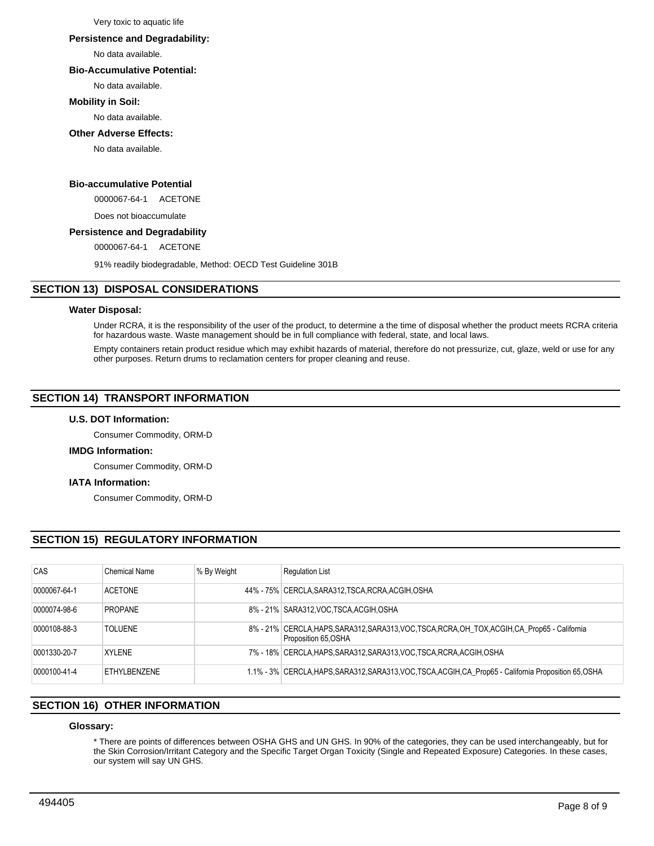Very toxic to aquatic life

## **Persistence and Degradability:**

No data available.

# **Bio-Accumulative Potential:**

No data available.

# **Mobility in Soil:**

No data available.

# **Other Adverse Effects:**

No data available.

# **Bio-accumulative Potential**

0000067-64-1 ACETONE

Does not bioaccumulate

# **Persistence and Degradability**

0000067-64-1 ACETONE

91% readily biodegradable, Method: OECD Test Guideline 301B

# **SECTION 13) DISPOSAL CONSIDERATIONS**

# **Water Disposal:**

Under RCRA, it is the responsibility of the user of the product, to determine a the time of disposal whether the product meets RCRA criteria for hazardous waste. Waste management should be in full compliance with federal, state, and local laws.

Empty containers retain product residue which may exhibit hazards of material, therefore do not pressurize, cut, glaze, weld or use for any other purposes. Return drums to reclamation centers for proper cleaning and reuse.

# **SECTION 14) TRANSPORT INFORMATION**

# **U.S. DOT Information:**

Consumer Commodity, ORM-D

# **IMDG Information:**

Consumer Commodity, ORM-D

# **IATA Information:**

Consumer Commodity, ORM-D

# **SECTION 15) REGULATORY INFORMATION**

| CAS          | Chemical Name  | % By Weight | <b>Requlation List</b>                                                                                                  |
|--------------|----------------|-------------|-------------------------------------------------------------------------------------------------------------------------|
| 0000067-64-1 | <b>ACETONE</b> |             | 44% - 75% CERCLA, SARA312, TSCA, RCRA, ACGIH, OSHA                                                                      |
| 0000074-98-6 | <b>PROPANE</b> |             | 8% - 21% SARA312, VOC TSCA, ACGIH, OSHA                                                                                 |
| 0000108-88-3 | <b>TOLUENE</b> |             | 8% - 21% CERCLA, HAPS, SARA312, SARA313, VOC, TSCA, RCRA, OH_TOX, ACGIH, CA_Prop65 - California<br>Proposition 65, OSHA |
| 0001330-20-7 | <b>XYLENE</b>  |             | 7% - 18% CERCLA, HAPS, SARA312, SARA313, VOC, TSCA, RCRA, ACGIH, OSHA                                                   |
| 0000100-41-4 | FTHYLBENZENE   |             | 1.1% - 3% CERCLA, HAPS, SARA312, SARA313, VOC, TSCA, ACGIH, CA_Prop65 - California Proposition 65, OSHA                 |

# **SECTION 16) OTHER INFORMATION**

# **Glossary:**

\* There are points of differences between OSHA GHS and UN GHS. In 90% of the categories, they can be used interchangeably, but for the Skin Corrosion/Irritant Category and the Specific Target Organ Toxicity (Single and Repeated Exposure) Categories. In these cases, our system will say UN GHS.